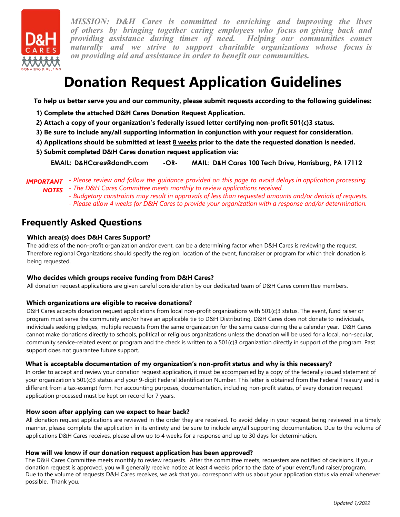

*MISSION: D&H Cares is committed to enriching and improving the lives of others by bringing together caring employees who focus on giving back and providing assistance during times of need. naturally and we strive to support charitable organizations whose focus is on providing aid and assistance in order to benefit our communities.*

# **Donation Request Application Guidelines**

**To help us better serve you and our community, please submit requests according to the following guidelines:**

- **1) Complete the attached D&H Cares Donation Request Application.**
- **2) Attach a copy of your organization's federally issued letter certifying non-profit 501(c)3 status.**
- **3) Be sure to include any/all supporting information in conjunction with your request for consideration.**
- **4) Applications should be submitted at least 8 weeks prior to the date the requested donation is needed.**
- **5) Submit completed D&H Cares donation request application via:**

**EMAIL: D&HCares@dandh.com -OR- MAIL: D&H Cares 100 Tech Drive, Harrisburg, PA 17112**

- **IMPORTANT** Please review and follow the guidance provided on this page to avoid delays in application processing.
	- *The D&H Cares Committee meets monthly to review applications received. NOTES*
		- *Budgetary constraints may result in approvals of less than requested amounts and/or denials of requests. - Please allow 4 weeks for D&H Cares to provide your organization with a response and/or determination.*

## **Frequently Asked Questions**

#### **Which area(s) does D&H Cares Support?**

The address of the non-profit organization and/or event, can be a determining factor when D&H Cares is reviewing the request. Therefore regional Organizations should specify the region, location of the event, fundraiser or program for which their donation is being requested.

### **Who decides which groups receive funding from D&H Cares?**

All donation request applications are given careful consideration by our dedicated team of D&H Cares committee members.

### **Which organizations are eligible to receive donations?**

D&H Cares accepts donation request applications from local non-profit organizations with 501(c)3 status. The event, fund raiser or program must serve the community and/or have an applicable tie to D&H Distributing. D&H Cares does not donate to individuals, individuals seeking pledges, multiple requests from the same organization for the same cause during the a calendar year. D&H Cares cannot make donations directly to schools, political or religious organizations unless the donation will be used for a local, non-secular, community service-related event or program and the check is written to a 501(c)3 organization directly in support of the program. Past support does not guarantee future support.

#### **What is acceptable documentation of my organization's non-profit status and why is this necessary?**

In order to accept and review your donation request application, it must be accompanied by a copy of the federally issued statement of your organization's 501(c)3 status and your 9-digit Federal Identification Number. This letter is obtained from the Federal Treasury and is different from a tax-exempt form. For accounting purposes, documentation, including non-profit status, of every donation request application processed must be kept on record for 7 years.

#### **How soon after applying can we expect to hear back?**

All donation request applications are reviewed in the order they are received. To avoid delay in your request being reviewed in a timely manner, please complete the application in its entirety and be sure to include any/all supporting documentation. Due to the volume of applications D&H Cares receives, please allow up to 4 weeks for a response and up to 30 days for determination.

#### **How will we know if our donation request application has been approved?**

The D&H Cares Committee meets monthly to review requests. After the committee meets, requesters are notified of decisions. If your donation request is approved, you will generally receive notice at least 4 weeks prior to the date of your event/fund raiser/program. Due to the volume of requests D&H Cares receives, we ask that you correspond with us about your application status via email whenever possible. Thank you.